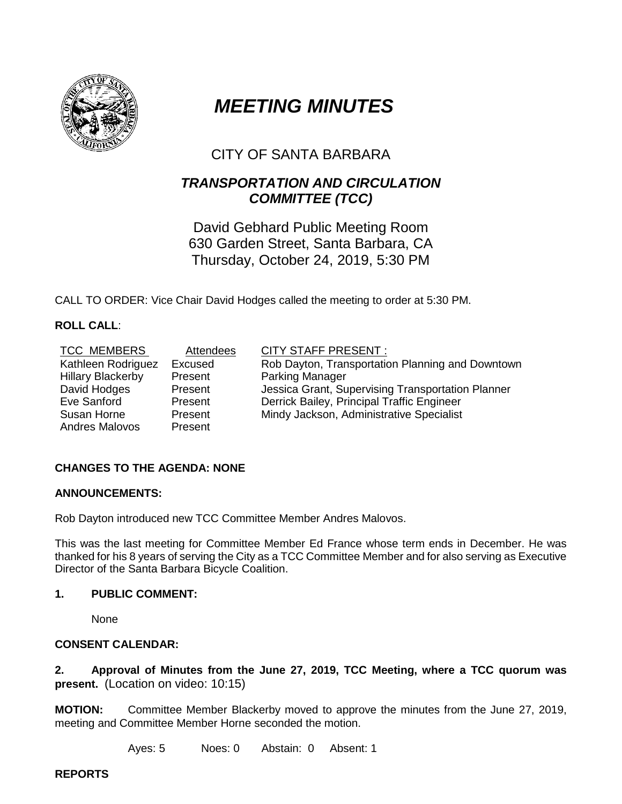

# *MEETING MINUTES*

## CITY OF SANTA BARBARA

### *TRANSPORTATION AND CIRCULATION COMMITTEE (TCC)*

David Gebhard Public Meeting Room 630 Garden Street, Santa Barbara, CA Thursday, October 24, 2019, 5:30 PM

CALL TO ORDER: Vice Chair David Hodges called the meeting to order at 5:30 PM.

#### **ROLL CALL**:

| <b>TCC MEMBERS</b>       | Attendees | <b>CITY STAFF PRESENT:</b>                        |
|--------------------------|-----------|---------------------------------------------------|
| Kathleen Rodriguez       | Excused   | Rob Dayton, Transportation Planning and Downtown  |
| <b>Hillary Blackerby</b> | Present   | <b>Parking Manager</b>                            |
| David Hodges             | Present   | Jessica Grant, Supervising Transportation Planner |
| Eve Sanford              | Present   | Derrick Bailey, Principal Traffic Engineer        |
| Susan Horne              | Present   | Mindy Jackson, Administrative Specialist          |
| <b>Andres Malovos</b>    | Present   |                                                   |

#### **CHANGES TO THE AGENDA: NONE**

#### **ANNOUNCEMENTS:**

Rob Dayton introduced new TCC Committee Member Andres Malovos.

This was the last meeting for Committee Member Ed France whose term ends in December. He was thanked for his 8 years of serving the City as a TCC Committee Member and for also serving as Executive Director of the Santa Barbara Bicycle Coalition.

#### **1. PUBLIC COMMENT:**

None

#### **CONSENT CALENDAR:**

**2. Approval of Minutes from the June 27, 2019, TCC Meeting, where a TCC quorum was present.** (Location on video: 10:15)

**MOTION:** Committee Member Blackerby moved to approve the minutes from the June 27, 2019, meeting and Committee Member Horne seconded the motion.

Ayes: 5 Noes: 0 Abstain: 0 Absent: 1

**REPORTS**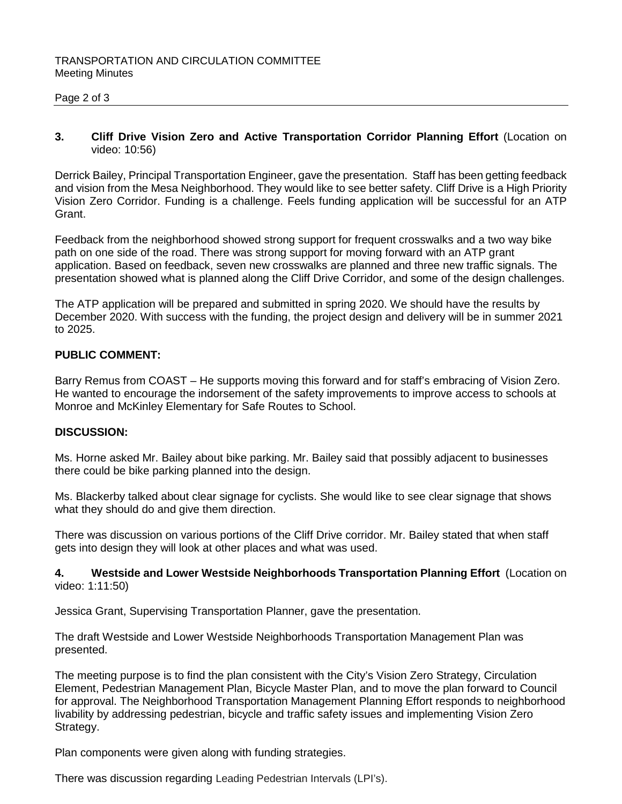#### Page 2 of 3

#### **3. Cliff Drive Vision Zero and Active Transportation Corridor Planning Effort** (Location on video: 10:56)

Derrick Bailey, Principal Transportation Engineer, gave the presentation. Staff has been getting feedback and vision from the Mesa Neighborhood. They would like to see better safety. Cliff Drive is a High Priority Vision Zero Corridor. Funding is a challenge. Feels funding application will be successful for an ATP Grant.

Feedback from the neighborhood showed strong support for frequent crosswalks and a two way bike path on one side of the road. There was strong support for moving forward with an ATP grant application. Based on feedback, seven new crosswalks are planned and three new traffic signals. The presentation showed what is planned along the Cliff Drive Corridor, and some of the design challenges.

The ATP application will be prepared and submitted in spring 2020. We should have the results by December 2020. With success with the funding, the project design and delivery will be in summer 2021 to 2025.

#### **PUBLIC COMMENT:**

Barry Remus from COAST – He supports moving this forward and for staff's embracing of Vision Zero. He wanted to encourage the indorsement of the safety improvements to improve access to schools at Monroe and McKinley Elementary for Safe Routes to School.

#### **DISCUSSION:**

Ms. Horne asked Mr. Bailey about bike parking. Mr. Bailey said that possibly adjacent to businesses there could be bike parking planned into the design.

Ms. Blackerby talked about clear signage for cyclists. She would like to see clear signage that shows what they should do and give them direction.

There was discussion on various portions of the Cliff Drive corridor. Mr. Bailey stated that when staff gets into design they will look at other places and what was used.

#### **4. Westside and Lower Westside Neighborhoods Transportation Planning Effort** (Location on video: 1:11:50)

Jessica Grant, Supervising Transportation Planner, gave the presentation.

The draft Westside and Lower Westside Neighborhoods Transportation Management Plan was presented.

The meeting purpose is to find the plan consistent with the City's Vision Zero Strategy, Circulation Element, Pedestrian Management Plan, Bicycle Master Plan, and to move the plan forward to Council for approval. The Neighborhood Transportation Management Planning Effort responds to neighborhood livability by addressing pedestrian, bicycle and traffic safety issues and implementing Vision Zero Strategy.

Plan components were given along with funding strategies.

There was discussion regarding Leading Pedestrian Intervals (LPI's).